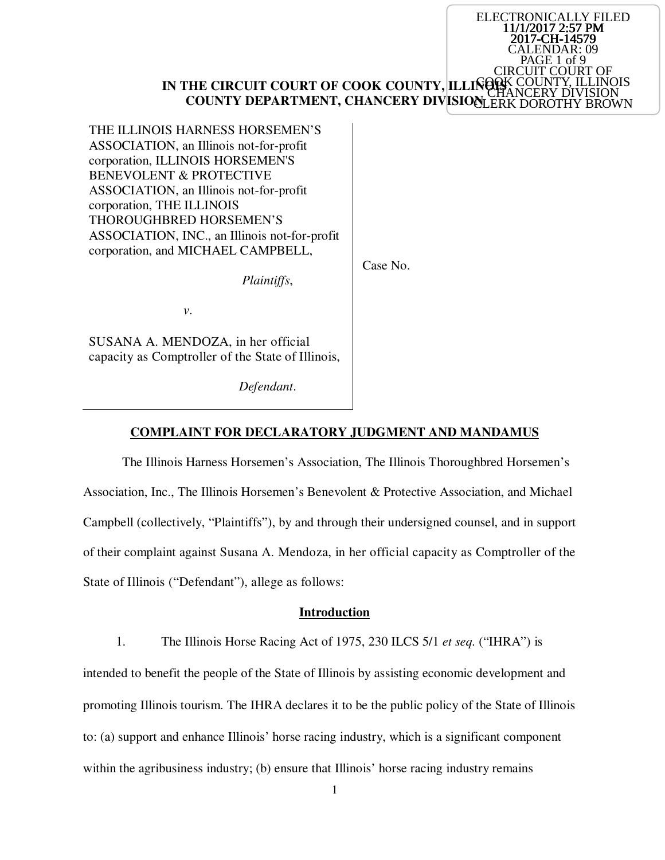#### **IN THE CIRCUIT COURT OF COOK COUNTY, ILLINOIS COUNTY DEPARTMENT, CHANCERY DIVISIONLERK DOROTHY BROWN GOOK COUNTY, ILLINOIS** CHANCERY DIVISION

ELECTRONICALLY FILED 11/1/2017 2:57 PM 2017-CH-14579 ALENDAR: 09 PAGE 1 of 9

T COURT OF

THE ILLINOIS HARNESS HORSEMEN'S ASSOCIATION, an Illinois not-for-profit corporation, ILLINOIS HORSEMEN'S BENEVOLENT & PROTECTIVE ASSOCIATION, an Illinois not-for-profit corporation, THE ILLINOIS THOROUGHBRED HORSEMEN'S ASSOCIATION, INC., an Illinois not-for-profit corporation, and MICHAEL CAMPBELL,

*Plaintiffs*,

Case No.

 *v*.

SUSANA A. MENDOZA, in her official capacity as Comptroller of the State of Illinois,

*Defendant*.

#### **COMPLAINT FOR DECLARATORY JUDGMENT AND MANDAMUS**

The Illinois Harness Horsemen's Association, The Illinois Thoroughbred Horsemen's Association, Inc., The Illinois Horsemen's Benevolent & Protective Association, and Michael Campbell (collectively, "Plaintiffs"), by and through their undersigned counsel, and in support of their complaint against Susana A. Mendoza, in her official capacity as Comptroller of the State of Illinois ("Defendant"), allege as follows:

#### **Introduction**

1. The Illinois Horse Racing Act of 1975, 230 ILCS 5/1 *et seq.* ("IHRA") is

intended to benefit the people of the State of Illinois by assisting economic development and promoting Illinois tourism. The IHRA declares it to be the public policy of the State of Illinois to: (a) support and enhance Illinois' horse racing industry, which is a significant component within the agribusiness industry; (b) ensure that Illinois' horse racing industry remains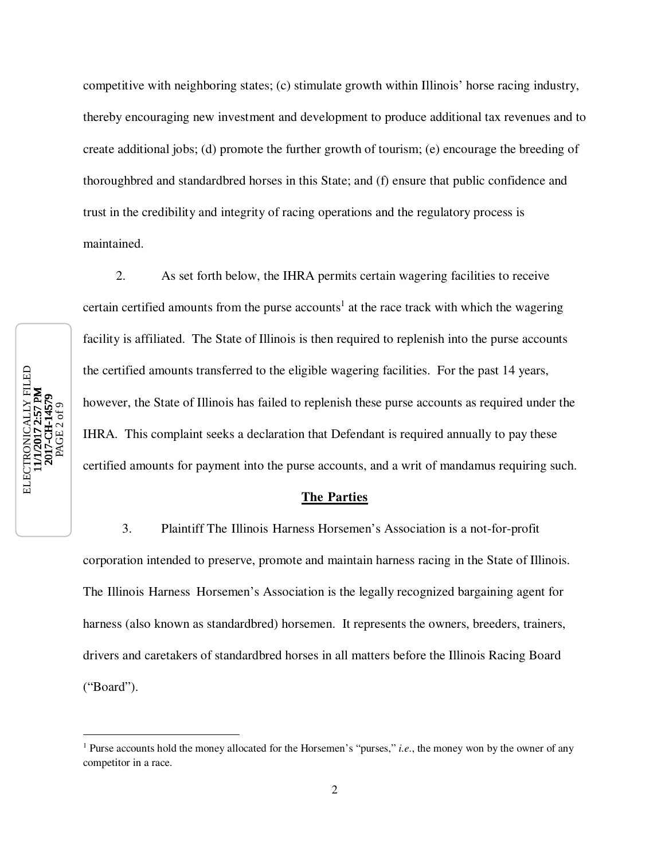competitive with neighboring states; (c) stimulate growth within Illinois' horse racing industry, thereby encouraging new investment and development to produce additional tax revenues and to create additional jobs; (d) promote the further growth of tourism; (e) encourage the breeding of thoroughbred and standardbred horses in this State; and (f) ensure that public confidence and trust in the credibility and integrity of racing operations and the regulatory process is maintained.

ELECTRONICALLY FILED<br>11/1/2017 2-57 PM ELECTRONICALLY FILED<br>11/1/2017 2:57 PM<br>2017-CH-14579 2017-CH-14579 PAGE 2 of 9

 $\overline{a}$ 

2. As set forth below, the IHRA permits certain wagering facilities to receive certain certified amounts from the purse accounts<sup>1</sup> at the race track with which the wagering facility is affiliated. The State of Illinois is then required to replenish into the purse accounts the certified amounts transferred to the eligible wagering facilities. For the past 14 years, however, the State of Illinois has failed to replenish these purse accounts as required under the IHRA. This complaint seeks a declaration that Defendant is required annually to pay these certified amounts for payment into the purse accounts, and a writ of mandamus requiring such.

## **The Parties**

3. Plaintiff The Illinois Harness Horsemen's Association is a not-for-profit corporation intended to preserve, promote and maintain harness racing in the State of Illinois. The Illinois Harness Horsemen's Association is the legally recognized bargaining agent for harness (also known as standardbred) horsemen. It represents the owners, breeders, trainers, drivers and caretakers of standardbred horses in all matters before the Illinois Racing Board ("Board").

<sup>&</sup>lt;sup>1</sup> Purse accounts hold the money allocated for the Horsemen's "purses," *i.e.*, the money won by the owner of any competitor in a race.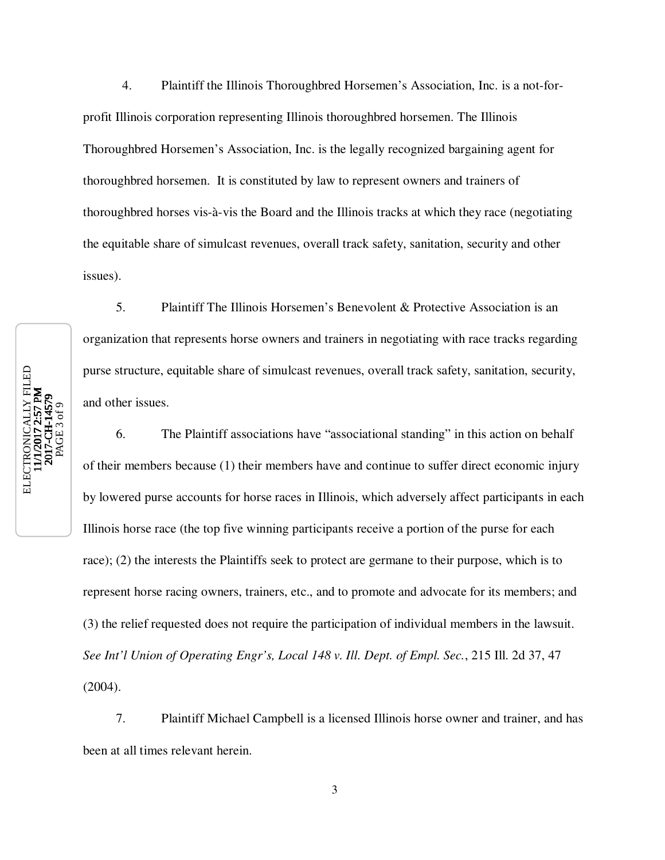4. Plaintiff the Illinois Thoroughbred Horsemen's Association, Inc. is a not-forprofit Illinois corporation representing Illinois thoroughbred horsemen. The Illinois Thoroughbred Horsemen's Association, Inc. is the legally recognized bargaining agent for thoroughbred horsemen. It is constituted by law to represent owners and trainers of thoroughbred horses vis-à-vis the Board and the Illinois tracks at which they race (negotiating the equitable share of simulcast revenues, overall track safety, sanitation, security and other issues).

5. Plaintiff The Illinois Horsemen's Benevolent & Protective Association is an organization that represents horse owners and trainers in negotiating with race tracks regarding purse structure, equitable share of simulcast revenues, overall track safety, sanitation, security, and other issues.

6. The Plaintiff associations have "associational standing" in this action on behalf of their members because (1) their members have and continue to suffer direct economic injury by lowered purse accounts for horse races in Illinois, which adversely affect participants in each Illinois horse race (the top five winning participants receive a portion of the purse for each race); (2) the interests the Plaintiffs seek to protect are germane to their purpose, which is to represent horse racing owners, trainers, etc., and to promote and advocate for its members; and (3) the relief requested does not require the participation of individual members in the lawsuit. *See Int'l Union of Operating Engr's, Local 148 v. Ill. Dept. of Empl. Sec.*, 215 Ill. 2d 37, 47 (2004).

7. Plaintiff Michael Campbell is a licensed Illinois horse owner and trainer, and has been at all times relevant herein.

ELECTRONICALLY FILED<br>11/1/2017 2-57 PM ELECTRONICALLY FILED<br>11/1/2017 2:57 PM<br>2017-CH-14579 2017-CH-14579 PAGE 3 of 9

```
3
```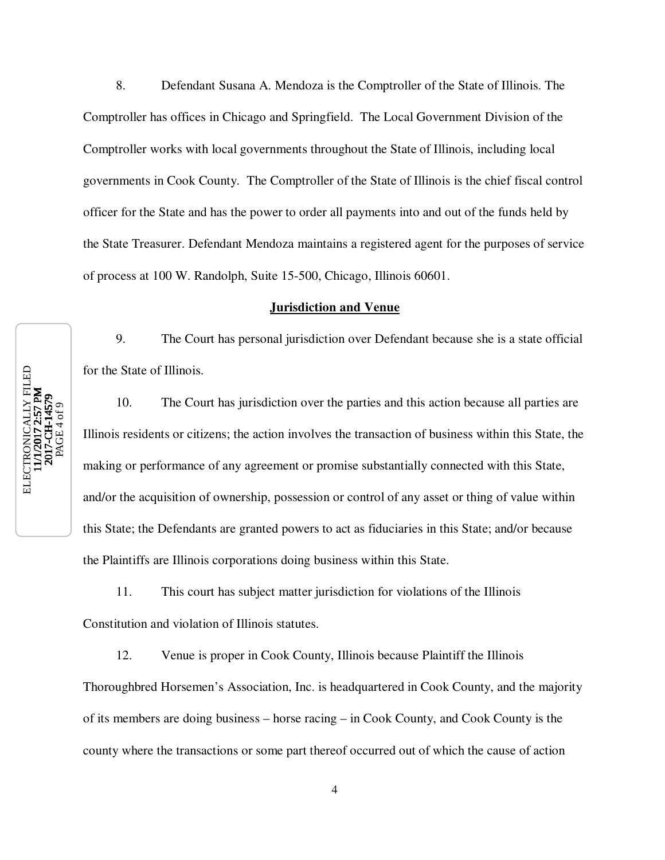8. Defendant Susana A. Mendoza is the Comptroller of the State of Illinois. The Comptroller has offices in Chicago and Springfield. The Local Government Division of the Comptroller works with local governments throughout the State of Illinois, including local governments in Cook County. The Comptroller of the State of Illinois is the chief fiscal control officer for the State and has the power to order all payments into and out of the funds held by the State Treasurer. Defendant Mendoza maintains a registered agent for the purposes of service of process at 100 W. Randolph, Suite 15-500, Chicago, Illinois 60601.

### **Jurisdiction and Venue**

9. The Court has personal jurisdiction over Defendant because she is a state official for the State of Illinois.

10. The Court has jurisdiction over the parties and this action because all parties are Illinois residents or citizens; the action involves the transaction of business within this State, the making or performance of any agreement or promise substantially connected with this State, and/or the acquisition of ownership, possession or control of any asset or thing of value within this State; the Defendants are granted powers to act as fiduciaries in this State; and/or because the Plaintiffs are Illinois corporations doing business within this State.

11. This court has subject matter jurisdiction for violations of the Illinois Constitution and violation of Illinois statutes.

12. Venue is proper in Cook County, Illinois because Plaintiff the Illinois Thoroughbred Horsemen's Association, Inc. is headquartered in Cook County, and the majority of its members are doing business – horse racing – in Cook County, and Cook County is the county where the transactions or some part thereof occurred out of which the cause of action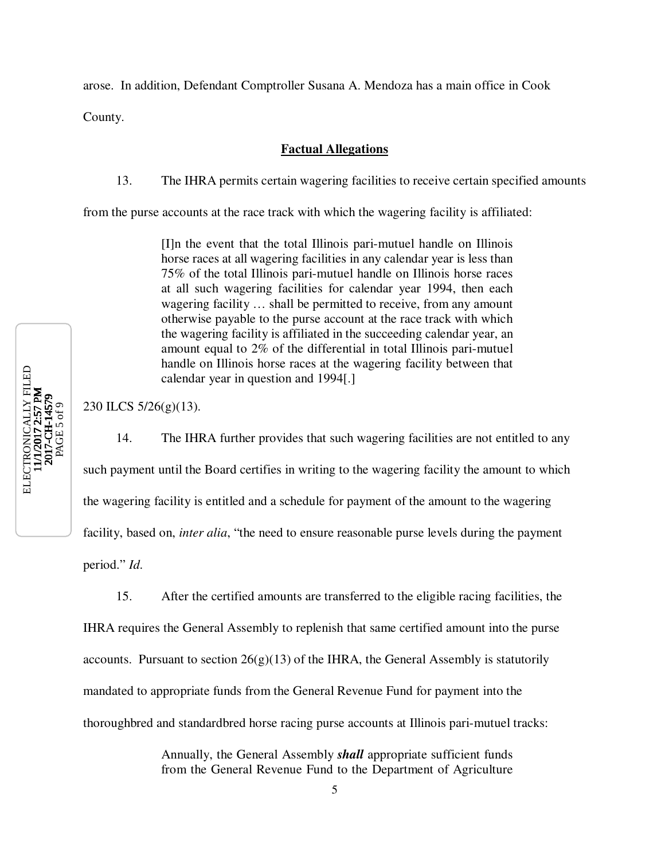arose. In addition, Defendant Comptroller Susana A. Mendoza has a main office in Cook

County.

# **Factual Allegations**

13. The IHRA permits certain wagering facilities to receive certain specified amounts

from the purse accounts at the race track with which the wagering facility is affiliated:

[I]n the event that the total Illinois pari-mutuel handle on Illinois horse races at all wagering facilities in any calendar year is less than 75% of the total Illinois pari-mutuel handle on Illinois horse races at all such wagering facilities for calendar year 1994, then each wagering facility … shall be permitted to receive, from any amount otherwise payable to the purse account at the race track with which the wagering facility is affiliated in the succeeding calendar year, an amount equal to 2% of the differential in total Illinois pari-mutuel handle on Illinois horse races at the wagering facility between that calendar year in question and 1994[.]

230 ILCS 5/26(g)(13).

14. The IHRA further provides that such wagering facilities are not entitled to any such payment until the Board certifies in writing to the wagering facility the amount to which the wagering facility is entitled and a schedule for payment of the amount to the wagering facility, based on, *inter alia*, "the need to ensure reasonable purse levels during the payment period." *Id*.

15. After the certified amounts are transferred to the eligible racing facilities, the IHRA requires the General Assembly to replenish that same certified amount into the purse accounts. Pursuant to section  $26(g)(13)$  of the IHRA, the General Assembly is statutorily mandated to appropriate funds from the General Revenue Fund for payment into the thoroughbred and standardbred horse racing purse accounts at Illinois pari-mutuel tracks:

> Annually, the General Assembly *shall* appropriate sufficient funds from the General Revenue Fund to the Department of Agriculture

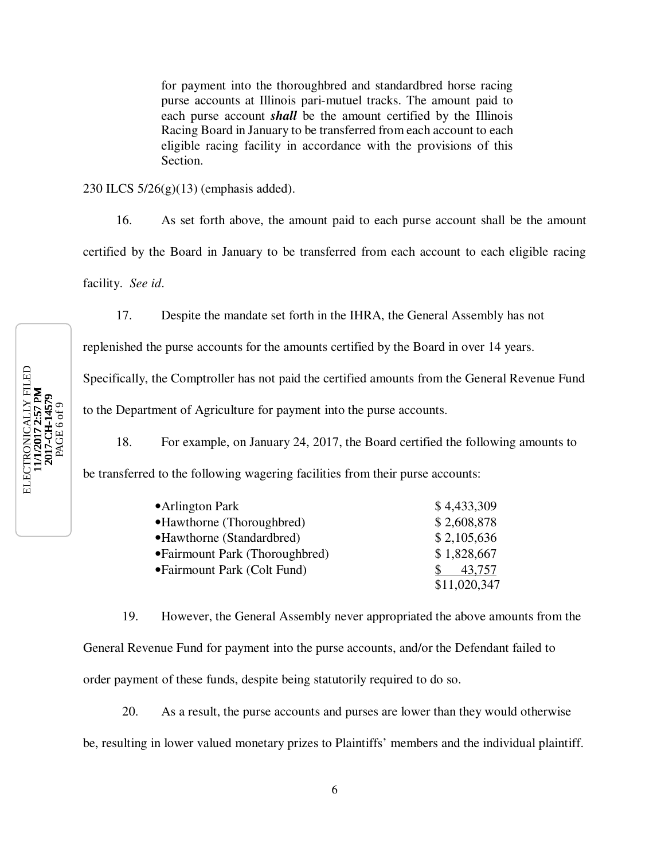for payment into the thoroughbred and standardbred horse racing purse accounts at Illinois pari-mutuel tracks. The amount paid to each purse account *shall* be the amount certified by the Illinois Racing Board in January to be transferred from each account to each eligible racing facility in accordance with the provisions of this Section.

230 ILCS  $5/26(g)(13)$  (emphasis added).

16. As set forth above, the amount paid to each purse account shall be the amount certified by the Board in January to be transferred from each account to each eligible racing facility. *See id*.

17. Despite the mandate set forth in the IHRA, the General Assembly has not

replenished the purse accounts for the amounts certified by the Board in over 14 years.

Specifically, the Comptroller has not paid the certified amounts from the General Revenue Fund

to the Department of Agriculture for payment into the purse accounts.

18. For example, on January 24, 2017, the Board certified the following amounts to

be transferred to the following wagering facilities from their purse accounts:

| • Arlington Park                | \$4,433,309  |
|---------------------------------|--------------|
| • Hawthorne (Thoroughbred)      | \$2,608,878  |
| • Hawthorne (Standardbred)      | \$2,105,636  |
| • Fairmount Park (Thoroughbred) | \$1,828,667  |
| • Fairmount Park (Colt Fund)    | 43,757       |
|                                 | \$11,020,347 |

19. However, the General Assembly never appropriated the above amounts from the General Revenue Fund for payment into the purse accounts, and/or the Defendant failed to order payment of these funds, despite being statutorily required to do so.

20. As a result, the purse accounts and purses are lower than they would otherwise be, resulting in lower valued monetary prizes to Plaintiffs' members and the individual plaintiff.

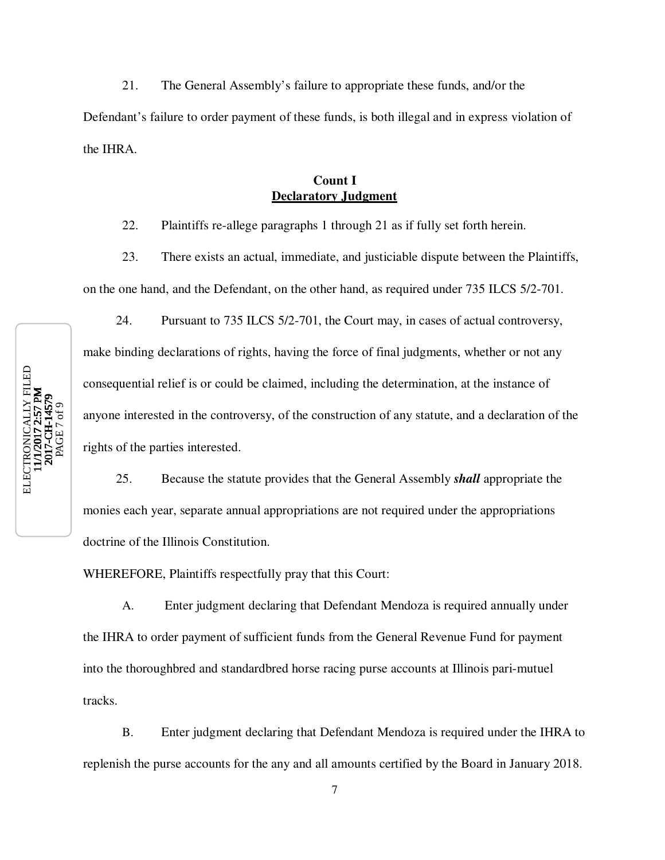21. The General Assembly's failure to appropriate these funds, and/or the Defendant's failure to order payment of these funds, is both illegal and in express violation of the IHRA.

# **Count I Declaratory Judgment**

22. Plaintiffs re-allege paragraphs 1 through 21 as if fully set forth herein.

23. There exists an actual, immediate, and justiciable dispute between the Plaintiffs, on the one hand, and the Defendant, on the other hand, as required under 735 ILCS 5/2-701.

24. Pursuant to 735 ILCS 5/2-701, the Court may, in cases of actual controversy, make binding declarations of rights, having the force of final judgments, whether or not any consequential relief is or could be claimed, including the determination, at the instance of anyone interested in the controversy, of the construction of any statute, and a declaration of the rights of the parties interested.

25. Because the statute provides that the General Assembly *shall* appropriate the monies each year, separate annual appropriations are not required under the appropriations doctrine of the Illinois Constitution.

WHEREFORE, Plaintiffs respectfully pray that this Court:

A. Enter judgment declaring that Defendant Mendoza is required annually under the IHRA to order payment of sufficient funds from the General Revenue Fund for payment into the thoroughbred and standardbred horse racing purse accounts at Illinois pari-mutuel tracks.

B. Enter judgment declaring that Defendant Mendoza is required under the IHRA to replenish the purse accounts for the any and all amounts certified by the Board in January 2018.



7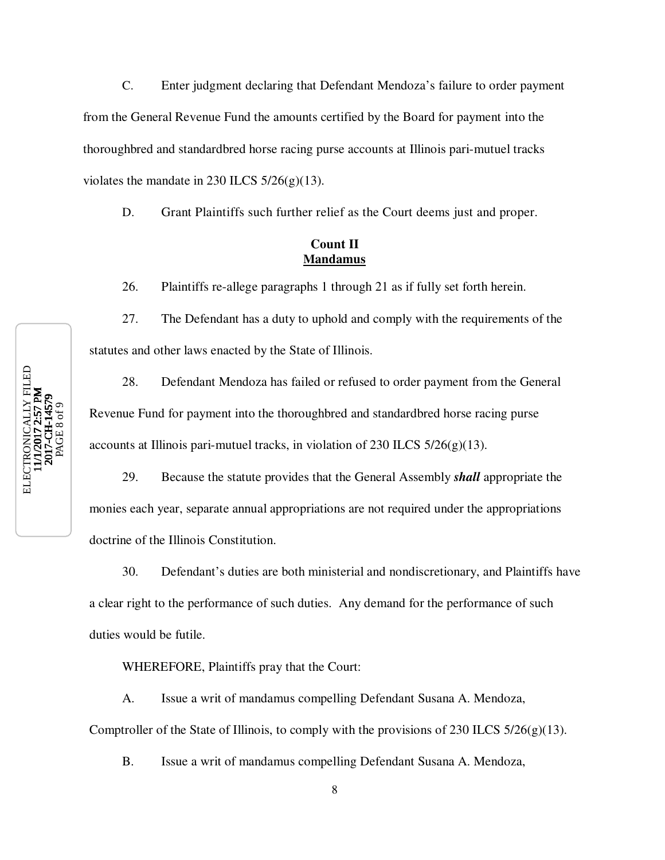C. Enter judgment declaring that Defendant Mendoza's failure to order payment from the General Revenue Fund the amounts certified by the Board for payment into the thoroughbred and standardbred horse racing purse accounts at Illinois pari-mutuel tracks violates the mandate in 230 ILCS  $5/26(g)(13)$ .

D. Grant Plaintiffs such further relief as the Court deems just and proper.

# **Count II Mandamus**

26. Plaintiffs re-allege paragraphs 1 through 21 as if fully set forth herein.

27. The Defendant has a duty to uphold and comply with the requirements of the statutes and other laws enacted by the State of Illinois.

28. Defendant Mendoza has failed or refused to order payment from the General Revenue Fund for payment into the thoroughbred and standardbred horse racing purse accounts at Illinois pari-mutuel tracks, in violation of 230 ILCS  $5/26(g)(13)$ .

29. Because the statute provides that the General Assembly *shall* appropriate the monies each year, separate annual appropriations are not required under the appropriations doctrine of the Illinois Constitution.

30. Defendant's duties are both ministerial and nondiscretionary, and Plaintiffs have a clear right to the performance of such duties. Any demand for the performance of such duties would be futile.

WHEREFORE, Plaintiffs pray that the Court:

A. Issue a writ of mandamus compelling Defendant Susana A. Mendoza, Comptroller of the State of Illinois, to comply with the provisions of 230 ILCS  $5/26(g)(13)$ .

B. Issue a writ of mandamus compelling Defendant Susana A. Mendoza,

ELECTRONICALLY FILED<br>11/1/2017 2-57 PM ELECTRONICALLY FILED<br>11/1/2017 2:57 PM 2017-CH-14579 PAGE 8 of 9

8